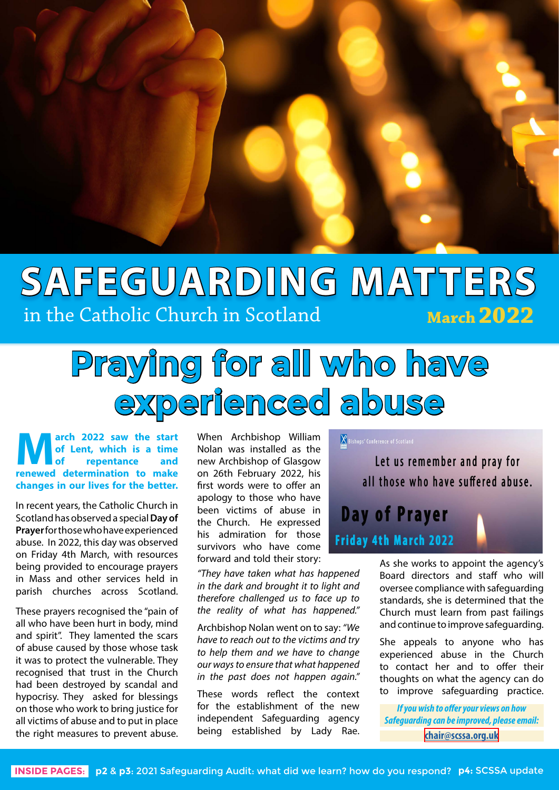

## **SAFEGUARDING MATTERS March 2022** in the Catholic Church in Scotland

# **Praying for all who have experienced abuse**

**March 2022 saw the start<br>of Lent, which is a time<br>repentance and<br>repeated determination to make of Lent, which is a time of repentance and renewed determination to make changes in our lives for the better.**

In recent years, the Catholic Church in Scotland has observed a special **Day of Prayer** for those who have experienced abuse. In 2022, this day was observed on Friday 4th March, with resources being provided to encourage prayers in Mass and other services held in parish churches across Scotland.

These prayers recognised the "pain of all who have been hurt in body, mind and spirit". They lamented the scars of abuse caused by those whose task it was to protect the vulnerable. They recognised that trust in the Church had been destroyed by scandal and hypocrisy. They asked for blessings on those who work to bring justice for all victims of abuse and to put in place the right measures to prevent abuse.

When Archbishop William Nolan was installed as the new Archbishop of Glasgow on 26th February 2022, his first words were to offer an apology to those who have been victims of abuse in the Church. He expressed his admiration for those survivors who have come forward and told their story:

*"They have taken what has happened in the dark and brought it to light and therefore challenged us to face up to the reality of what has happened."* 

Archbishop Nolan went on to say: *"We have to reach out to the victims and try to help them and we have to change our ways to ensure that what happened in the past does not happen again."*

These words reflect the context for the establishment of the new independent Safeguarding agency being established by Lady Rae.

Let us remember and pray for all those who have suffered abuse. **Day of Prayer** Friday 4th March 2022

 $\underline{\mathsf{X}}$  Bishops' Conference of Scotland

As she works to appoint the agency's Board directors and staff who will oversee compliance with safeguarding standards, she is determined that the Church must learn from past failings and continue to improve safeguarding.

She appeals to anyone who has experienced abuse in the Church to contact her and to offer their thoughts on what the agency can do to improve safeguarding practice.

*If you wish to offer your views on how Safeguarding can be improved, please email:* **[chair@scssa.org.uk](mailto:chair%40scssa.org.uk?subject=)**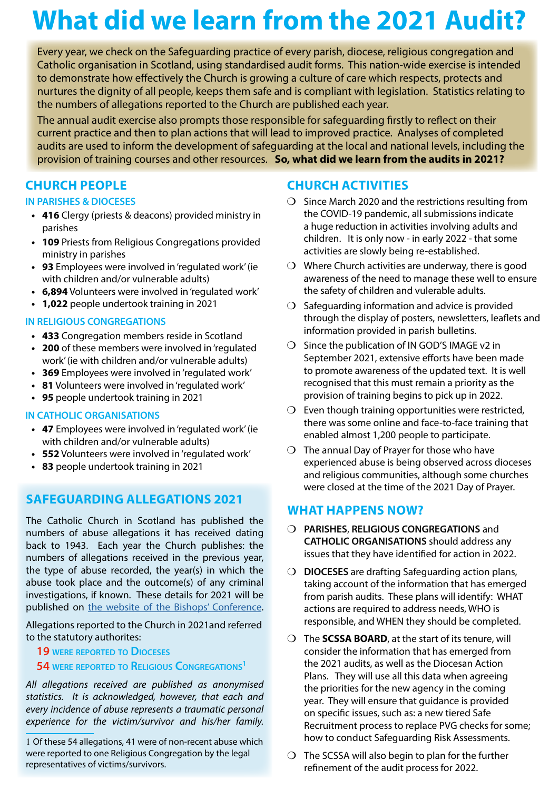## **What did we learn from the 2021 Audit?**

Every year, we check on the Safeguarding practice of every parish, diocese, religious congregation and Catholic organisation in Scotland, using standardised audit forms. This nation-wide exercise is intended to demonstrate how effectively the Church is growing a culture of care which respects, protects and nurtures the dignity of all people, keeps them safe and is compliant with legislation. Statistics relating to the numbers of allegations reported to the Church are published each year.

The annual audit exercise also prompts those responsible for safeguarding firstly to reflect on their current practice and then to plan actions that will lead to improved practice. Analyses of completed audits are used to inform the development of safeguarding at the local and national levels, including the provision of training courses and other resources. **So, what did we learn from the audits in 2021?**

### **CHURCH PEOPLE**

#### **IN PARISHES & DIOCESES**

- **• 416** Clergy (priests & deacons) provided ministry in parishes
- **• 109** Priests from Religious Congregations provided ministry in parishes
- **• 93** Employees were involved in 'regulated work' (ie with children and/or vulnerable adults)
- **• 6,894** Volunteers were involved in 'regulated work'
- **• 1,022** people undertook training in 2021

### **IN RELIGIOUS CONGREGATIONS**

- **• 433** Congregation members reside in Scotland
- **• 200** of these members were involved in 'regulated work' (ie with children and/or vulnerable adults)
- **• 369** Employees were involved in 'regulated work'
- **• 81** Volunteers were involved in 'regulated work'
- **• 95** people undertook training in 2021

### **IN CATHOLIC ORGANISATIONS**

- **• 47** Employees were involved in 'regulated work' (ie with children and/or vulnerable adults)
- **• 552** Volunteers were involved in 'regulated work'
- **• 83** people undertook training in 2021

### **SAFEGUARDING ALLEGATIONS 2021**

The Catholic Church in Scotland has published the numbers of abuse allegations it has received dating back to 1943. Each year the Church publishes: the numbers of allegations received in the previous year, the type of abuse recorded, the year(s) in which the abuse took place and the outcome(s) of any criminal investigations, if known. These details for 2021 will be published on [the website of the Bishops' Conference.](https://www.bcos.org.uk/Safeguarding)

Allegations reported to the Church in 2021and referred to the statutory authorites:

### **19 were reported to Dioceses**

### **54 were reported to Religious Congregations1**

*All allegations received are published as anonymised statistics. It is acknowledged, however, that each and every incidence of abuse represents a traumatic personal experience for the victim/survivor and his/her family.*

1 Of these 54 allegations, 41 were of non-recent abuse which were reported to one Religious Congregation by the legal representatives of victims/survivors.

### **CHURCH ACTIVITIES**

- ❍ Since March 2020 and the restrictions resulting from the COVID-19 pandemic, all submissions indicate a huge reduction in activities involving adults and children. It is only now - in early 2022 - that some activities are slowly being re-established.
- ❍ Where Church activities are underway, there is good awareness of the need to manage these well to ensure the safety of children and vulerable adults.
- $\bigcirc$  Safeguarding information and advice is provided through the display of posters, newsletters, leaflets and information provided in parish bulletins.
- ❍ Since the publication of IN GOD'S IMAGE v2 in September 2021, extensive efforts have been made to promote awareness of the updated text. It is well recognised that this must remain a priority as the provision of training begins to pick up in 2022.
- $\bigcirc$  Even though training opportunities were restricted, there was some online and face-to-face training that enabled almost 1,200 people to participate.
- ❍ The annual Day of Prayer for those who have experienced abuse is being observed across dioceses and religious communities, although some churches were closed at the time of the 2021 Day of Prayer.

### **WHAT HAPPENS NOW?**

- ❍ **PARISHES**, **RELIGIOUS CONGREGATIONS** and **CATHOLIC ORGANISATIONS** should address any issues that they have identified for action in 2022.
- ❍ **DIOCESES** are drafting Safeguarding action plans, taking account of the information that has emerged from parish audits. These plans will identify: WHAT actions are required to address needs, WHO is responsible, and WHEN they should be completed.
- ❍ The **SCSSA BOARD**, at the start of its tenure, will consider the information that has emerged from the 2021 audits, as well as the Diocesan Action Plans. They will use all this data when agreeing the priorities for the new agency in the coming year. They will ensure that guidance is provided on specific issues, such as: a new tiered Safe Recruitment process to replace PVG checks for some; how to conduct Safeguarding Risk Assessments.
- $\bigcirc$  The SCSSA will also begin to plan for the further refinement of the audit process for 2022.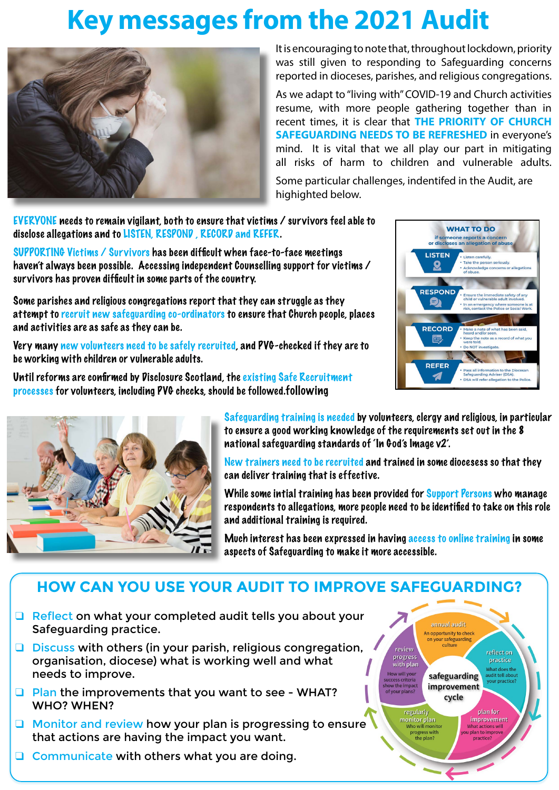## **Key messages from the 2021 Audit**



It is encouraging to note that, throughout lockdown, priority was still given to responding to Safeguarding concerns reported in dioceses, parishes, and religious congregations.

As we adapt to "living with" COVID-19 and Church activities resume, with more people gathering together than in recent times, it is clear that **THE PRIORITY OF CHURCH SAFEGUARDING NEEDS TO BE REFRESHED** in everyone's mind. It is vital that we all play our part in mitigating all risks of harm to children and vulnerable adults.

Some particular challenges, indentifed in the Audit, are highighted below.

EVERYONE needs to remain vigilant, both to ensure that victims / survivors feel able to disclose allegations and to LISTEN, RESPOND , RECORD and REFER.

SUPPORTING Victims / Survivors has been difficult when face-to-face meetings haven't always been possible. Accessing independent Counselling support for victims / survivors has proven difficult in some parts of the country.

Some parishes and religious congregations report that they can struggle as they attempt to recruit new safeguarding co-ordinators to ensure that Church people, places and activities are as safe as they can be.

Very many new volunteers need to be safely recruited, and PVG-checked if they are to be working with children or vulnerable adults.

Until reforms are confirmed by Disclosure Scotland, the existing Safe Recruitment processes for volunteers, including PVG checks, should be followed.following





Safeguarding training is needed by volunteers, clergy and religious, in particular to ensure a good working knowledge of the requirements set out in the 8 national safeguarding standards of 'In God's Image v2'.

New trainers need to be recruited and trained in some diocesess so that they can deliver training that is effective.

While some intial training has been provided for Support Persons who manage respondents to allegations, more people need to be identified to take on this role and additional training is required.

Much interest has been expressed in having access to online training in some aspects of Safeguarding to make it more accessible.

review

progress

How will your<br>uccess criteria

now the impa<mark>c</mark><br>of your plans?

regularly<br>monitor plan

progress with<br>the plan?

with plan

annual audit An opportunity to check on your safeguarding<br>culture

safeguarding

improvement cycle

reflect on

practice

What does the<br>audit tell about

vour practice?

plan for improvement

### **HOW CAN YOU USE YOUR AUDIT TO IMPROVE SAFEGUARDING?**

- □ Reflect on what your completed audit tells you about your Safeguarding practice.
- ❑ Discuss with others (in your parish, religious congregation, organisation, diocese) what is working well and what needs to improve.
- ❑ Plan the improvements that you want to see WHAT? WHO? WHEN?
- ❑ Monitor and review how your plan is progressing to ensure that actions are having the impact you want.
- ❑ Communicate with others what you are doing.